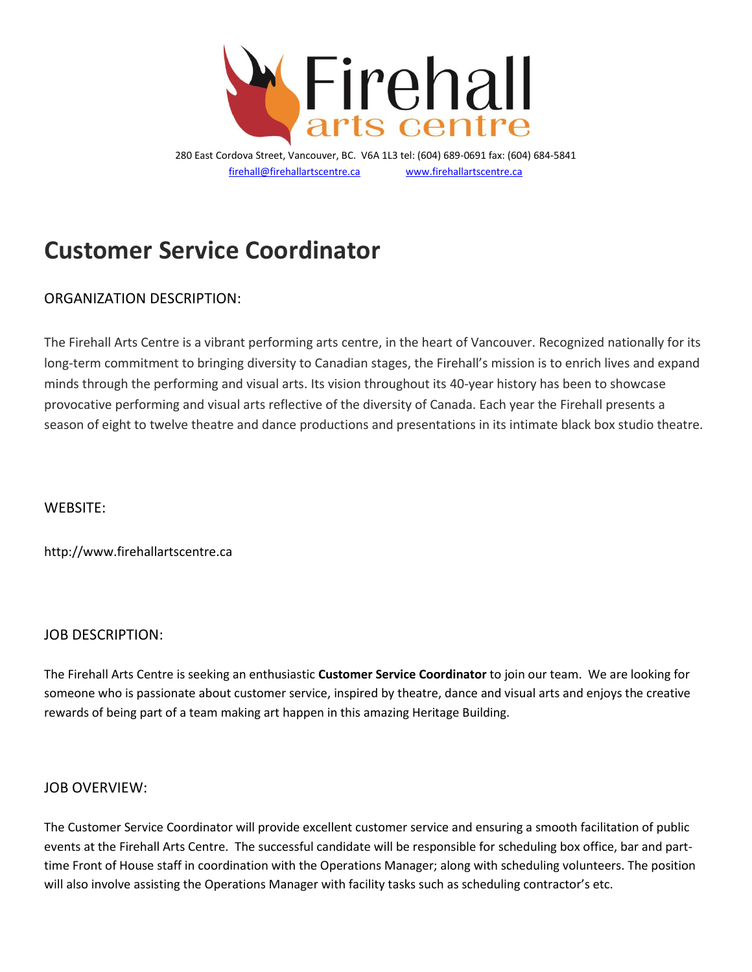

280 East Cordova Street, Vancouver, BC. V6A 1L3 tel: (604) 689-0691 fax: (604) 684-5841 [firehall@firehallartscentre.ca](mailto:firehall@firehallartscentre.ca) [www.firehallartscentre.ca](http://www.firehallartscentre.ca/)

# **Customer Service Coordinator**

## ORGANIZATION DESCRIPTION:

The Firehall Arts Centre is a vibrant performing arts centre, in the heart of Vancouver. Recognized nationally for its long-term commitment to bringing diversity to Canadian stages, the Firehall's mission is to enrich lives and expand minds through the performing and visual arts. Its vision throughout its 40-year history has been to showcase provocative performing and visual arts reflective of the diversity of Canada. Each year the Firehall presents a season of eight to twelve theatre and dance productions and presentations in its intimate black box studio theatre.

### WEBSITE:

[http://www.firehallartscentre.ca](http://www.firehallartscentre.ca/)

### JOB DESCRIPTION:

The Firehall Arts Centre is seeking an enthusiastic **Customer Service Coordinator** to join our team. We are looking for someone who is passionate about customer service, inspired by theatre, dance and visual arts and enjoys the creative rewards of being part of a team making art happen in this amazing Heritage Building.

### JOB OVERVIEW:

The Customer Service Coordinator will provide excellent customer service and ensuring a smooth facilitation of public events at the Firehall Arts Centre. The successful candidate will be responsible for scheduling box office, bar and parttime Front of House staff in coordination with the Operations Manager; along with scheduling volunteers. The position will also involve assisting the Operations Manager with facility tasks such as scheduling contractor's etc.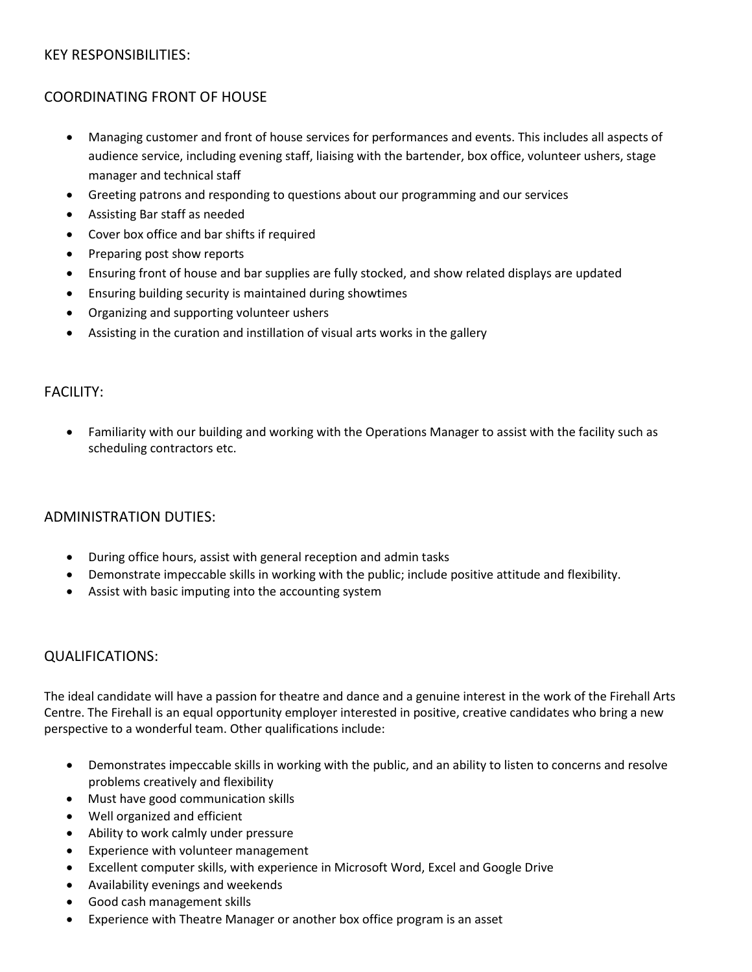## KEY RESPONSIBILITIES:

## COORDINATING FRONT OF HOUSE

- Managing customer and front of house services for performances and events. This includes all aspects of audience service, including evening staff, liaising with the bartender, box office, volunteer ushers, stage manager and technical staff
- Greeting patrons and responding to questions about our programming and our services
- Assisting Bar staff as needed
- Cover box office and bar shifts if required
- Preparing post show reports
- Ensuring front of house and bar supplies are fully stocked, and show related displays are updated
- Ensuring building security is maintained during showtimes
- Organizing and supporting volunteer ushers
- Assisting in the curation and instillation of visual arts works in the gallery

## FACILITY:

• Familiarity with our building and working with the Operations Manager to assist with the facility such as scheduling contractors etc.

## ADMINISTRATION DUTIES:

- During office hours, assist with general reception and admin tasks
- Demonstrate impeccable skills in working with the public; include positive attitude and flexibility.
- Assist with basic imputing into the accounting system

## QUALIFICATIONS:

The ideal candidate will have a passion for theatre and dance and a genuine interest in the work of the Firehall Arts Centre. The Firehall is an equal opportunity employer interested in positive, creative candidates who bring a new perspective to a wonderful team. Other qualifications include:

- Demonstrates impeccable skills in working with the public, and an ability to listen to concerns and resolve problems creatively and flexibility
- Must have good communication skills
- Well organized and efficient
- Ability to work calmly under pressure
- Experience with volunteer management
- Excellent computer skills, with experience in Microsoft Word, Excel and Google Drive
- Availability evenings and weekends
- Good cash management skills
- Experience with Theatre Manager or another box office program is an asset